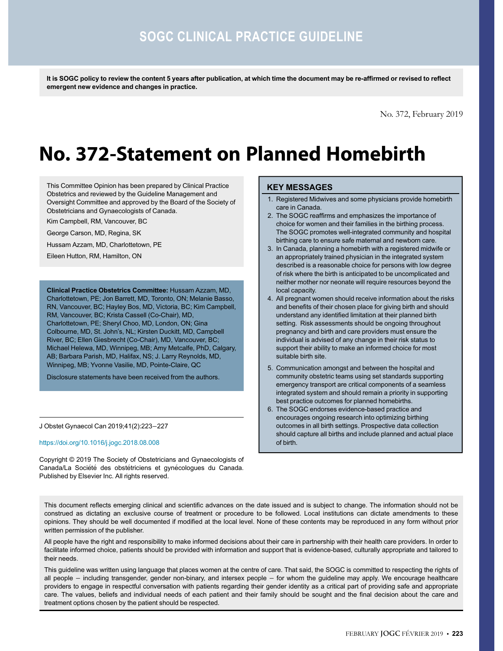## SOGC CLINICAL PRACTICE GUIDELINE

It is SOGC policy to review the content 5 years after publication, at which time the document may be re-affirmed or revised to reflect emergent new evidence and changes in practice.

No. 372, February 2019

# No. 372-Statement on Planned Homebirth

This Committee Opinion has been prepared by Clinical Practice Obstetrics and reviewed by the Guideline Management and Oversight Committee and approved by the Board of the Society of Obstetricians and Gynaecologists of Canada.

Kim Campbell, RM, Vancouver, BC

George Carson, MD, Regina, SK

Hussam Azzam, MD, Charlottetown, PE

Eileen Hutton, RM, Hamilton, ON

Clinical Practice Obstetrics Committee: Hussam Azzam, MD, Charlottetown, PE; Jon Barrett, MD, Toronto, ON; Melanie Basso, RN, Vancouver, BC; Hayley Bos, MD, Victoria, BC; Kim Campbell, RM, Vancouver, BC; Krista Cassell (Co-Chair), MD, Charlottetown, PE; Sheryl Choo, MD, London, ON; Gina Colbourne, MD, St. John's, NL; Kirsten Duckitt, MD, Campbell River, BC; Ellen Giesbrecht (Co-Chair), MD, Vancouver, BC; Michael Helewa, MD, Winnipeg, MB; Amy Metcalfe, PhD, Calgary, AB; Barbara Parish, MD, Halifax, NS; J. Larry Reynolds, MD, Winnipeg, MB; Yvonne Vasilie, MD, Pointe-Claire, QC

Disclosure statements have been received from the authors.

J Obstet Gynaecol Can 2019;41(2):223−227

https://doi.org/10.1016/j.jogc.2018.08.008

Copyright © 2019 The Society of Obstetricians and Gynaecologists of Canada/La Société des obstétriciens et gynécologues du Canada. Published by Elsevier Inc. All rights reserved.

#### KEY MESSAGES

- 1. Registered Midwives and some physicians provide homebirth care in Canada.
- 2. The SOGC reaffirms and emphasizes the importance of choice for women and their families in the birthing process. The SOGC promotes well-integrated community and hospital birthing care to ensure safe maternal and newborn care.
- 3. In Canada, planning a homebirth with a registered midwife or an appropriately trained physician in the integrated system described is a reasonable choice for persons with low degree of risk where the birth is anticipated to be uncomplicated and neither mother nor neonate will require resources beyond the local capacity.
- 4. All pregnant women should receive information about the risks and benefits of their chosen place for giving birth and should understand any identified limitation at their planned birth setting. Risk assessments should be ongoing throughout pregnancy and birth and care providers must ensure the individual is advised of any change in their risk status to support their ability to make an informed choice for most suitable birth site.
- 5. Communication amongst and between the hospital and community obstetric teams using set standards supporting emergency transport are critical components of a seamless integrated system and should remain a priority in supporting best practice outcomes for planned homebirths.
- 6. The SOGC endorses evidence-based practice and encourages ongoing research into optimizing birthing outcomes in all birth settings. Prospective data collection should capture all births and include planned and actual place of birth.

This document reflects emerging clinical and scientific advances on the date issued and is subject to change. The information should not be construed as dictating an exclusive course of treatment or procedure to be followed. Local institutions can dictate amendments to these opinions. They should be well documented if modified at the local level. None of these contents may be reproduced in any form without prior written permission of the publisher.

All people have the right and responsibility to make informed decisions about their care in partnership with their health care providers. In order to facilitate informed choice, patients should be provided with information and support that is evidence-based, culturally appropriate and tailored to their needs.

This guideline was written using language that places women at the centre of care. That said, the SOGC is committed to respecting the rights of all people − including transgender, gender non-binary, and intersex people − for whom the guideline may apply. We encourage healthcare providers to engage in respectful conversation with patients regarding their gender identity as a critical part of providing safe and appropriate care. The values, beliefs and individual needs of each patient and their family should be sought and the final decision about the care and treatment options chosen by the patient should be respected.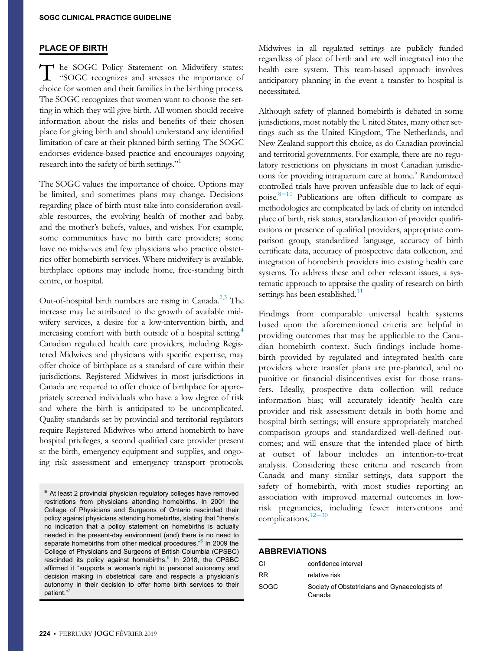#### PLACE OF BIRTH

The SOGC Policy Statement on Midwifery states: "SOGC recognizes and stresses the importance of choice for women and their families in the birthing process. The SOGC recognizes that women want to choose the setting in which they will give birth. All women should receive information about the risks and benefits of their chosen place for giving birth and should understand any identified limitation of care at their planned birth setting. The SOGC endorses evidence-based practice and encourages ongoing research into the safety of birth settings."<sup>1</sup>

The SOGC values the importance of choice. Options may be limited, and sometimes plans may change. Decisions regarding place of birth must take into consideration available resources, the evolving health of mother and baby, and the mother's beliefs, values, and wishes. For example, some communities have no birth care providers; some have no midwives and few physicians who practice obstetrics offer homebirth services. Where midwifery is available, birthplace options may include home, free-standing birth centre, or hospital.

Out-of-hospital birth numbers are rising in Canada.<sup>2,3</sup> The increase may be attributed to the growth of available midwifery services, a desire for a low-intervention birth, and increasing comfort with birth outside of a hospital setting.<sup>4</sup> Canadian regulated health care providers, including Registered Midwives and physicians with specific expertise, may offer choice of birthplace as a standard of care within their jurisdictions. Registered Midwives in most jurisdictions in Canada are required to offer choice of birthplace for appropriately screened individuals who have a low degree of risk and where the birth is anticipated to be uncomplicated. Quality standards set by provincial and territorial regulators require Registered Midwives who attend homebirth to have hospital privileges, a second qualified care provider present at the birth, emergency equipment and supplies, and ongoing risk assessment and emergency transport protocols.

Midwives in all regulated settings are publicly funded regardless of place of birth and are well integrated into the health care system. This team-based approach involves anticipatory planning in the event a transfer to hospital is necessitated.

Although safety of planned homebirth is debated in some jurisdictions, most notably the United States, many other settings such as the United Kingdom, The Netherlands, and New Zealand support this choice, as do Canadian provincial and territorial governments. For example, there are no regulatory restrictions on physicians in most Canadian jurisdictions for providing intrapartum care at home.<sup>a</sup> Randomized controlled trials have proven unfeasible due to lack of equipoise.<sup>8−10</sup> Publications are often difficult to compare as methodologies are complicated by lack of clarity on intended place of birth, risk status, standardization of provider qualifications or presence of qualified providers, appropriate comparison group, standardized language, accuracy of birth certificate data, accuracy of prospective data collection, and integration of homebirth providers into existing health care systems. To address these and other relevant issues, a systematic approach to appraise the quality of research on birth settings has been established.<sup>11</sup>

Findings from comparable universal health systems based upon the aforementioned criteria are helpful in providing outcomes that may be applicable to the Canadian homebirth context. Such findings include homebirth provided by regulated and integrated health care providers where transfer plans are pre-planned, and no punitive or financial disincentives exist for those transfers. Ideally, prospective data collection will reduce information bias; will accurately identify health care provider and risk assessment details in both home and hospital birth settings; will ensure appropriately matched comparison groups and standardized well-defined outcomes; and will ensure that the intended place of birth at outset of labour includes an intention-to-treat analysis. Considering these criteria and research from Canada and many similar settings, data support the safety of homebirth, with most studies reporting an association with improved maternal outcomes in lowrisk pregnancies, including fewer interventions and complications.12−<sup>30</sup>

#### ABBREVIATIONS

| CI.         | confidence interval                                      |
|-------------|----------------------------------------------------------|
| <b>RR</b>   | relative risk                                            |
| <b>SOGC</b> | Society of Obstetricians and Gynaecologists of<br>Canada |

<sup>&</sup>lt;sup>a</sup> At least 2 provincial physician regulatory colleges have removed restrictions from physicians attending homebirths. In 2001 the College of Physicians and Surgeons of Ontario rescinded their policy against physicians attending homebirths, stating that "there's no indication that a policy statement on homebirths is actually needed in the present-day environment (and) there is no need to separate homebirths from other medical procedures."<sup>5</sup> In 2009 the College of Physicians and Surgeons of British Columbia (CPSBC) rescinded its policy against homebirths.<sup>6</sup> In 2018, the CPSBC affirmed it "supports a woman's right to personal autonomy and decision making in obstetrical care and respects a physician's autonomy in their decision to offer home birth services to their patient."7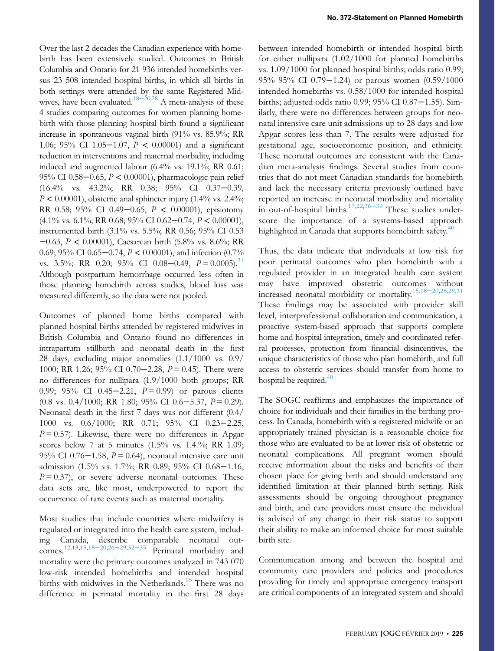Over the last 2 decades the Canadian experience with homebirth has been extensively studied. Outcomes in British Columbia and Ontario for 21 936 intended homebirths versus 23 508 intended hospital births, in which all births in both settings were attended by the same Registered Midwives, have been evaluated.<sup>18−20,28</sup> A meta-analysis of these 4 studies comparing outcomes for women planning homebirth with those planning hospital birth found a significant increase in spontaneous vaginal birth (91% vs. 85.9%; RR 1.06; 95% CI 1.05−1.07, P < 0.00001) and a significant reduction in interventions and maternal morbidity, including induced and augmented labour (6.4% vs. 19.1%; RR 0.61; 95% CI 0.58−0.65, P < 0.00001), pharmacologic pain relief (16.4% vs. 43.2%; RR 0.38; 95% CI 0.37−0.39,  $P < 0.00001$ ), obstetric anal sphincter injury (1.4% vs. 2.4%; RR 0.58; 95% CI 0.49–0.65,  $P < 0.00001$ , episiotomy (4.1% vs. 6.1%; RR 0.68; 95% CI 0.62−0.74, P < 0.00001), instrumented birth (3.1% vs. 5.5%; RR 0.56; 95% CI 0.53 −0.63, P < 0.00001), Caesarean birth (5.8% vs. 8.6%; RR 0.69; 95% CI 0.65−0.74, P < 0.00001), and infection (0.7% vs. 3.5%; RR 0.20; 95% CI 0.08–0.49,  $P = 0.0005$ .<sup>31</sup> Although postpartum hemorrhage occurred less often in those planning homebirth across studies, blood loss was measured differently, so the data were not pooled.

Outcomes of planned home births compared with planned hospital births attended by registered midwives in British Columbia and Ontario found no differences in intrapartum stillbirth and neonatal death in the first 28 days, excluding major anomalies (1.1/1000 vs. 0.9/ 1000; RR 1.26; 95% CI 0.70−2.28, P = 0.45). There were no differences for nullipara (1.9/1000 both groups; RR 0.99; 95% CI 0.45−2.21, P = 0.99) or parous clients (0.8 vs. 0.4/1000; RR 1.80; 95% CI 0.6−5.37, P = 0.29). Neonatal death in the first 7 days was not different (0.4/ 1000 vs. 0.6/1000; RR 0.71; 95% CI 0.23−2.25,  $P = 0.57$ ). Likewise, there were no differences in Apgar scores below 7 at 5 minutes (1.5% vs. 1.4.%; RR 1.09; 95% CI 0.76−1.58, P = 0.64), neonatal intensive care unit admission (1.5% vs. 1.7%; RR 0.89; 95% CI 0.68−1.16,  $P = 0.37$ , or severe adverse neonatal outcomes. These data sets are, like most, underpowered to report the occurrence of rare events such as maternal mortality.

Most studies that include countries where midwifery is regulated or integrated into the health care system, including Canada, describe comparable neonatal outcomes.12,13,15,18−20,26−29,32−<sup>35</sup> Perinatal morbidity and mortality were the primary outcomes analyzed in 743 070 low-risk intended homebirths and intended hospital births with midwives in the Netherlands.<sup>15</sup> There was no difference in perinatal mortality in the first 28 days

between intended homebirth or intended hospital birth for either nullipara (1.02/1000 for planned homebirths vs. 1.09/1000 for planned hospital births; odds ratio 0.99; 95% 95% CI 0.79−1.24) or parous women (0.59/1000 intended homebirths vs. 0.58/1000 for intended hospital births; adjusted odds ratio 0.99; 95% CI 0.87−1.55). Similarly, there were no differences between groups for neonatal intensive care unit admissions up to 28 days and low Apgar scores less than 7. The results were adjusted for gestational age, socioeconomic position, and ethnicity. These neonatal outcomes are consistent with the Canadian meta-analysis findings. Several studies from countries that do not meet Canadian standards for homebirth and lack the necessary criteria previously outlined have reported an increase in neonatal morbidity and mortality in out-of-hospital births.<sup>17,22,36–39</sup> These studies underscore the importance of a systems-based approach highlighted in Canada that supports homebirth safety.<sup>40</sup>

Thus, the data indicate that individuals at low risk for poor perinatal outcomes who plan homebirth with a regulated provider in an integrated health care system may have improved obstetric outcomes without increased neonatal morbidity or mortality.15,18−20,28,29,31 These findings may be associated with provider skill level, interprofessional collaboration and communication, a proactive system-based approach that supports complete home and hospital integration, timely and coordinated referral processes, protection from financial disincentives, the unique characteristics of those who plan homebirth, and full access to obstetric services should transfer from home to hospital be required. $40$ 

The SOGC reaffirms and emphasizes the importance of choice for individuals and their families in the birthing process. In Canada, homebirth with a registered midwife or an appropriately trained physician is a reasonable choice for those who are evaluated to be at lower risk of obstetric or neonatal complications. All pregnant women should receive information about the risks and benefits of their chosen place for giving birth and should understand any identified limitation at their planned birth setting. Risk assessments should be ongoing throughout pregnancy and birth, and care providers must ensure the individual is advised of any change in their risk status to support their ability to make an informed choice for most suitable birth site.

Communication among and between the hospital and community care providers and policies and procedures providing for timely and appropriate emergency transport are critical components of an integrated system and should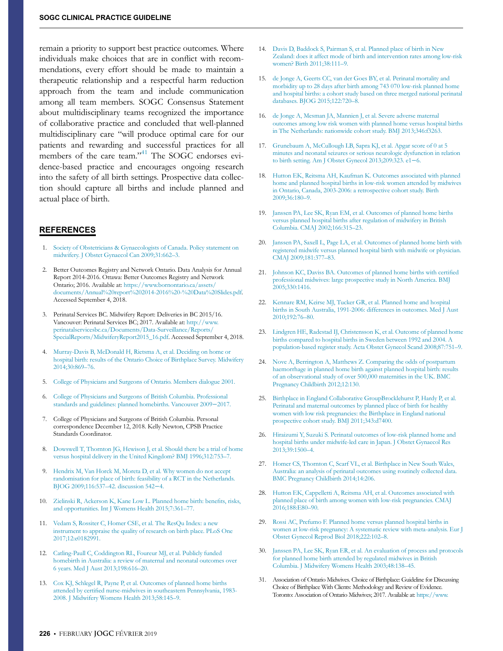remain a priority to support best practice outcomes. Where individuals make choices that are in conflict with recommendations, every effort should be made to maintain a therapeutic relationship and a respectful harm reduction approach from the team and include communication among all team members. SOGC Consensus Statement about multidisciplinary teams recognized the importance of collaborative practice and concluded that well-planned multidisciplinary care "will produce optimal care for our patients and rewarding and successful practices for all members of the care team."<sup>41</sup> The SOGC endorses evidence-based practice and encourages ongoing research into the safety of all birth settings. Prospective data collection should capture all births and include planned and actual place of birth.

### **REFERENCES**

- 1. Society of Obstetricians & Gynaecologists of Canada. Policy statement on midwifery. J Obstet Gynaecol Can 2009;31:662–3.
- 2. Better Outcomes Registry and Network Ontario. Data Analysis for Annual Report 2014-2016. Ottawa: Better Outcomes Registry and Network Ontario; 2016. Available at: https://www.bornontario.ca/assets/ documents/Annual%20report%202014-2016%20-%20Data%20Slides.pdf. Accessed September 4, 2018.
- 3. Perinatal Services BC. Midwifery Report: Deliveries in BC 2015/16. Vancouver: Perinatal Services BC; 2017. Available at: http://www. perinatalservicesbc.ca/Documents/Data-Surveillance/Reports/ SpecialReports/MidwiferyReport2015\_16.pdf. Accessed September 4, 2018.
- 4. Murray-Davis B, McDonald H, Rietsma A, et al. Deciding on home or hospital birth: results of the Ontario Choice of Birthplace Survey. Midwifery 2014;30:869–76.
- 5. College of Physicians and Surgeons of Ontario. Members dialogue 2001.
- 6. College of Physicians and Surgeons of British Columbia. Professional standards and guidelines: planned homebirths. Vancouver 2009−2017.
- 7. College of Physicians and Surgeons of British Columbia. Personal correspondence December 12, 2018. Kelly Newton, CPSB Practice Standards Coordinator.
- 8. Dowswell T, Thornton JG, Hewison J, et al. Should there be a trial of home versus hospital delivery in the United Kingdom? BMJ 1996;312:753–7.
- 9. Hendrix M, Van Horck M, Moreta D, et al. Why women do not accept randomisation for place of birth: feasibility of a RCT in the Netherlands. BJOG 2009;116:537–42. discussion 542−4.
- 10. Zielinski R, Ackerson K, Kane Low L. Planned home birth: benefits, risks, and opportunities. Int J Womens Health 2015;7:361–77.
- 11. Vedam S, Rossiter C, Homer CSE, et al. The ResQu Index: a new instrument to appraise the quality of research on birth place. PLoS One 2017;12:e0182991.
- 12. Catling-Paull C, Coddington RL, Foureur MJ, et al. Publicly funded homebirth in Australia: a review of maternal and neonatal outcomes over 6 years. Med J Aust 2013;198:616–20.
- 13. Cox KJ, Schlegel R, Payne P, et al. Outcomes of planned home births attended by certified nurse-midwives in southeastern Pennsylvania, 1983- 2008. J Midwifery Womens Health 2013;58:145–9.
- 14. Davis D, Baddock S, Pairman S, et al. Planned place of birth in New Zealand: does it affect mode of birth and intervention rates among low-risk women? Birth 2011;38:111–9.
- 15. de Jonge A, Geerts CC, van der Goes BY, et al. Perinatal mortality and morbidity up to 28 days after birth among 743 070 low-risk planned home and hospital births: a cohort study based on three merged national perinatal databases. BJOG 2015;122:720–8.
- 16. de Jonge A, Mesman JA, Mannien J, et al. Severe adverse maternal outcomes among low risk women with planned home versus hospital births in The Netherlands: nationwide cohort study. BMJ 2013;346:f3263.
- 17. Grunebaum A, McCullough LB, Sapra KJ, et al. Apgar score of 0 at 5 minutes and neonatal seizures or serious neurologic dysfunction in relation to birth setting. Am J Obstet Gynecol 2013;209:323. e1−6.
- 18. Hutton EK, Reitsma AH, Kaufman K. Outcomes associated with planned home and planned hospital births in low-risk women attended by midwives in Ontario, Canada, 2003-2006: a retrospective cohort study. Birth 2009;36:180–9.
- 19. Janssen PA, Lee SK, Ryan EM, et al. Outcomes of planned home births versus planned hospital births after regulation of midwifery in British Columbia. CMAJ 2002;166:315–23.
- 20. Janssen PA, Saxell L, Page LA, et al. Outcomes of planned home birth with registered midwife versus planned hospital birth with midwife or physician. CMAJ 2009;181:377–83.
- 21. Johnson KC, Daviss BA. Outcomes of planned home births with certified professional midwives: large prospective study in North America. BMJ 2005;330:1416.
- 22. Kennare RM, Keirse MJ, Tucker GR, et al. Planned home and hospital births in South Australia, 1991-2006: differences in outcomes. Med J Aust 2010;192:76–80.
- 23. Lindgren HE, Radestad IJ, Christensson K, et al. Outcome of planned home births compared to hospital births in Sweden between 1992 and 2004. A population-based register study. Acta Obstet Gynecol Scand 2008;87:751–9.
- 24. Nove A, Berrington A, Matthews Z. Comparing the odds of postpartum haemorrhage in planned home birth against planned hospital birth: results of an observational study of over 500,000 maternities in the UK. BMC Pregnancy Childbirth 2012;12:130.
- 25. Birthplace in England Collaborative GroupBrocklehurst P, Hardy P, et al. Perinatal and maternal outcomes by planned place of birth for healthy women with low risk pregnancies: the Birthplace in England national prospective cohort study. BMJ 2011;343:d7400.
- 26. Hiraizumi Y, Suzuki S. Perinatal outcomes of low-risk planned home and hospital births under midwife-led care in Japan. J Obstet Gynaecol Res 2013;39:1500–4.
- 27. Homer CS, Thornton C, Scarf VL, et al. Birthplace in New South Wales, Australia: an analysis of perinatal outcomes using routinely collected data. BMC Pregnancy Childbirth 2014;14:206.
- 28. Hutton EK, Cappelletti A, Reitsma AH, et al. Outcomes associated with planned place of birth among women with low-risk pregnancies. CMAJ 2016;188:E80–90.
- 29. Rossi AC, Prefumo F. Planned home versus planned hospital births in women at low-risk pregnancy: A systematic review with meta-analysis. Eur J Obstet Gynecol Reprod Biol 2018;222:102–8.
- 30. Janssen PA, Lee SK, Ryan ER, et al. An evaluation of process and protocols for planned home birth attended by regulated midwives in British Columbia. J Midwifery Womens Health 2003;48:138–45.
- 31. Association of Ontario Midwives. Choice of Birthplace: Guideline for Discussing Choice of Birthplace With Clients: Methodology and Review of Evidence. Toronto: Association of Ontario Midwives; 2017. Available at: https://www.